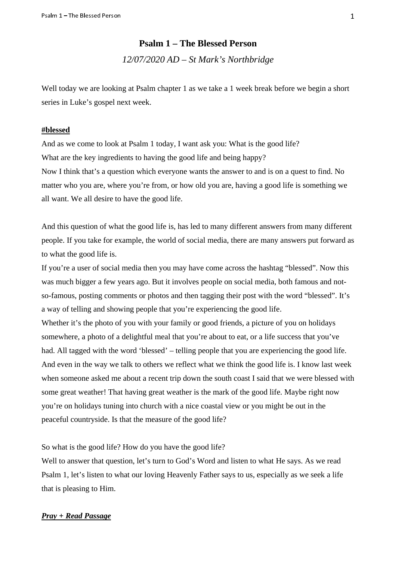# **Psalm 1 – The Blessed Person**  *12/07/2020 AD – St Mark's Northbridge*

Well today we are looking at Psalm chapter 1 as we take a 1 week break before we begin a short series in Luke's gospel next week.

#### **#blessed**

And as we come to look at Psalm 1 today, I want ask you: What is the good life? What are the key ingredients to having the good life and being happy? Now I think that's a question which everyone wants the answer to and is on a quest to find. No

matter who you are, where you're from, or how old you are, having a good life is something we all want. We all desire to have the good life.

And this question of what the good life is, has led to many different answers from many different people. If you take for example, the world of social media, there are many answers put forward as to what the good life is.

If you're a user of social media then you may have come across the hashtag "blessed". Now this was much bigger a few years ago. But it involves people on social media, both famous and notso-famous, posting comments or photos and then tagging their post with the word "blessed". It's a way of telling and showing people that you're experiencing the good life.

Whether it's the photo of you with your family or good friends, a picture of you on holidays somewhere, a photo of a delightful meal that you're about to eat, or a life success that you've had. All tagged with the word 'blessed' – telling people that you are experiencing the good life. And even in the way we talk to others we reflect what we think the good life is. I know last week when someone asked me about a recent trip down the south coast I said that we were blessed with some great weather! That having great weather is the mark of the good life. Maybe right now you're on holidays tuning into church with a nice coastal view or you might be out in the peaceful countryside. Is that the measure of the good life?

So what is the good life? How do you have the good life?

Well to answer that question, let's turn to God's Word and listen to what He says. As we read Psalm 1, let's listen to what our loving Heavenly Father says to us, especially as we seek a life that is pleasing to Him.

# *Pray + Read Passage*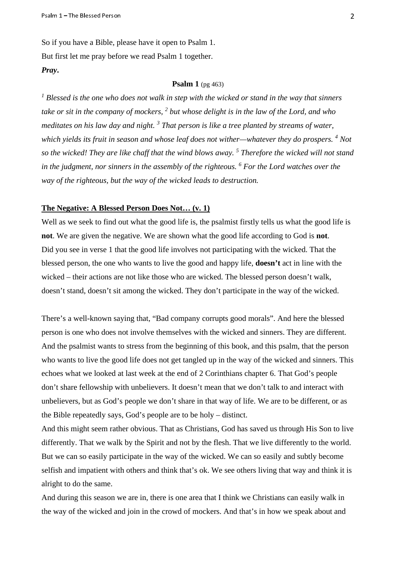Psalm 1 – The Blessed Person<br>So if you have a Bible, please have it open to Psalm 1. But first let me pray before we read Psalm 1 together. *Pray***.**

#### **Psalm 1** (pg 463)

<sup>1</sup> Blessed is the one who does not walk in step with the wicked or stand in the way that sinners take or sit in the company of mockers, <sup>2</sup> but whose delight is in the law of the Lord, and who *meditates on his law day and night. 3 That person is like a tree planted by streams of water,*  which yields its fruit in season and whose leaf does not wither—whatever they do prospers. <sup>4</sup> Not *so the wicked! They are like chaff that the wind blows away. 5 Therefore the wicked will not stand in the judgment, nor sinners in the assembly of the righteous. <sup>6</sup> For the Lord watches over the way of the righteous, but the way of the wicked leads to destruction.*

## **The Negative: A Blessed Person Does Not… (v. 1)**

Well as we seek to find out what the good life is, the psalmist firstly tells us what the good life is **not**. We are given the negative. We are shown what the good life according to God is **not**. Did you see in verse 1 that the good life involves not participating with the wicked. That the blessed person, the one who wants to live the good and happy life, **doesn't** act in line with the wicked – their actions are not like those who are wicked. The blessed person doesn't walk, doesn't stand, doesn't sit among the wicked. They don't participate in the way of the wicked.

There's a well-known saying that, "Bad company corrupts good morals". And here the blessed person is one who does not involve themselves with the wicked and sinners. They are different. And the psalmist wants to stress from the beginning of this book, and this psalm, that the person who wants to live the good life does not get tangled up in the way of the wicked and sinners. This echoes what we looked at last week at the end of 2 Corinthians chapter 6. That God's people don't share fellowship with unbelievers. It doesn't mean that we don't talk to and interact with unbelievers, but as God's people we don't share in that way of life. We are to be different, or as the Bible repeatedly says, God's people are to be holy – distinct.

And this might seem rather obvious. That as Christians, God has saved us through His Son to live differently. That we walk by the Spirit and not by the flesh. That we live differently to the world. But we can so easily participate in the way of the wicked. We can so easily and subtly become selfish and impatient with others and think that's ok. We see others living that way and think it is alright to do the same.

And during this season we are in, there is one area that I think we Christians can easily walk in the way of the wicked and join in the crowd of mockers. And that's in how we speak about and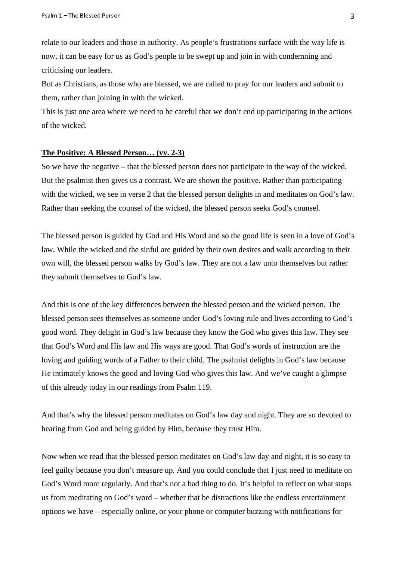Psalm 1 – The Blessed Person<br>relate to our leaders and those in authority. As people's frustrations surface with the way life is now, it can be easy for us as God's people to be swept up and join in with condemning and criticising our leaders.

But as Christians, as those who are blessed, we are called to pray for our leaders and submit to them, rather than joining in with the wicked.

This is just one area where we need to be careful that we don't end up participating in the actions of the wicked.

#### **The Positive: A Blessed Person… (vv. 2-3)**

So we have the negative – that the blessed person does not participate in the way of the wicked. But the psalmist then gives us a contrast. We are shown the positive. Rather than participating with the wicked, we see in verse 2 that the blessed person delights in and meditates on God's law. Rather than seeking the counsel of the wicked, the blessed person seeks God's counsel.

The blessed person is guided by God and His Word and so the good life is seen in a love of God's law. While the wicked and the sinful are guided by their own desires and walk according to their own will, the blessed person walks by God's law. They are not a law unto themselves but rather they submit themselves to God's law.

And this is one of the key differences between the blessed person and the wicked person. The blessed person sees themselves as someone under God's loving rule and lives according to God's good word. They delight in God's law because they know the God who gives this law. They see that God's Word and His law and His ways are good. That God's words of instruction are the loving and guiding words of a Father to their child. The psalmist delights in God's law because He intimately knows the good and loving God who gives this law. And we've caught a glimpse of this already today in our readings from Psalm 119.

And that's why the blessed person meditates on God's law day and night. They are so devoted to hearing from God and being guided by Him, because they trust Him.

Now when we read that the blessed person meditates on God's law day and night, it is so easy to feel guilty because you don't measure up. And you could conclude that I just need to meditate on God's Word more regularly. And that's not a bad thing to do. It's helpful to reflect on what stops us from meditating on God's word – whether that be distractions like the endless entertainment options we have – especially online, or your phone or computer buzzing with notifications for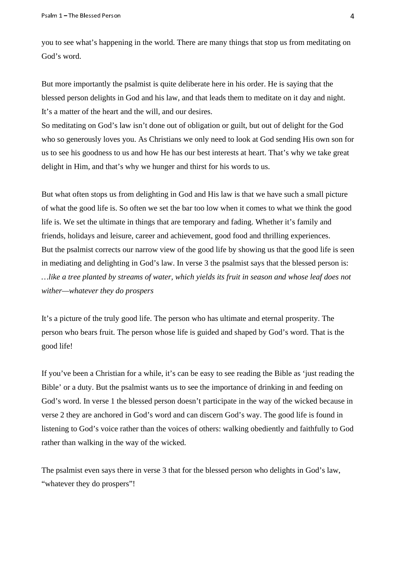Psalm 1 – The Blessed Person you to see what's happening in the world. There are many things that stop us from meditating on God's word.

But more importantly the psalmist is quite deliberate here in his order. He is saying that the blessed person delights in God and his law, and that leads them to meditate on it day and night. It's a matter of the heart and the will, and our desires.

So meditating on God's law isn't done out of obligation or guilt, but out of delight for the God who so generously loves you. As Christians we only need to look at God sending His own son for us to see his goodness to us and how He has our best interests at heart. That's why we take great delight in Him, and that's why we hunger and thirst for his words to us.

But what often stops us from delighting in God and His law is that we have such a small picture of what the good life is. So often we set the bar too low when it comes to what we think the good life is. We set the ultimate in things that are temporary and fading. Whether it's family and friends, holidays and leisure, career and achievement, good food and thrilling experiences. But the psalmist corrects our narrow view of the good life by showing us that the good life is seen in mediating and delighting in God's law. In verse 3 the psalmist says that the blessed person is: *…like a tree planted by streams of water, which yields its fruit in season and whose leaf does not wither—whatever they do prospers*

It's a picture of the truly good life. The person who has ultimate and eternal prosperity. The person who bears fruit. The person whose life is guided and shaped by God's word. That is the good life!

If you've been a Christian for a while, it's can be easy to see reading the Bible as 'just reading the Bible' or a duty. But the psalmist wants us to see the importance of drinking in and feeding on God's word. In verse 1 the blessed person doesn't participate in the way of the wicked because in verse 2 they are anchored in God's word and can discern God's way. The good life is found in listening to God's voice rather than the voices of others: walking obediently and faithfully to God rather than walking in the way of the wicked.

The psalmist even says there in verse 3 that for the blessed person who delights in God's law, "whatever they do prospers"!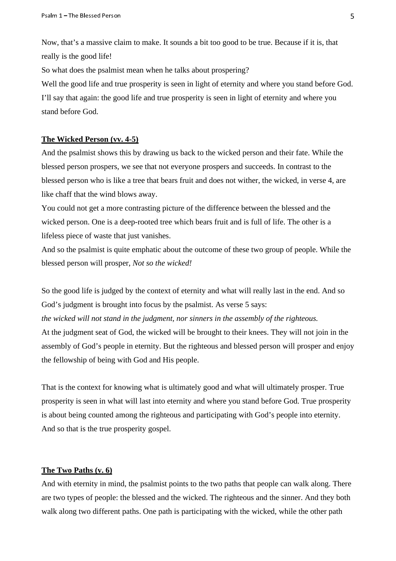Psalm 1 – The Blessed Person<br>Now, that's a massive claim to make. It sounds a bit too good to be true. Because if it is, that really is the good life!

So what does the psalmist mean when he talks about prospering?

Well the good life and true prosperity is seen in light of eternity and where you stand before God. I'll say that again: the good life and true prosperity is seen in light of eternity and where you stand before God.

## **The Wicked Person (vv. 4-5)**

And the psalmist shows this by drawing us back to the wicked person and their fate. While the blessed person prospers, we see that not everyone prospers and succeeds. In contrast to the blessed person who is like a tree that bears fruit and does not wither, the wicked, in verse 4, are like chaff that the wind blows away.

You could not get a more contrasting picture of the difference between the blessed and the wicked person. One is a deep-rooted tree which bears fruit and is full of life. The other is a lifeless piece of waste that just vanishes.

And so the psalmist is quite emphatic about the outcome of these two group of people. While the blessed person will prosper, *Not so the wicked!*

So the good life is judged by the context of eternity and what will really last in the end. And so God's judgment is brought into focus by the psalmist. As verse 5 says:

*the wicked will not stand in the judgment, nor sinners in the assembly of the righteous.* At the judgment seat of God, the wicked will be brought to their knees. They will not join in the assembly of God's people in eternity. But the righteous and blessed person will prosper and enjoy the fellowship of being with God and His people.

That is the context for knowing what is ultimately good and what will ultimately prosper. True prosperity is seen in what will last into eternity and where you stand before God. True prosperity is about being counted among the righteous and participating with God's people into eternity. And so that is the true prosperity gospel.

# **The Two Paths (v. 6)**

And with eternity in mind, the psalmist points to the two paths that people can walk along. There are two types of people: the blessed and the wicked. The righteous and the sinner. And they both walk along two different paths. One path is participating with the wicked, while the other path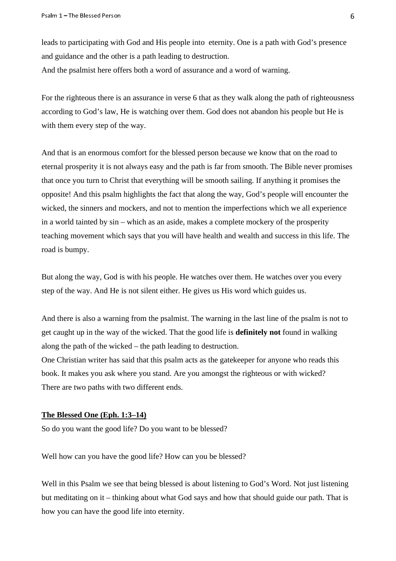Psalm 1 – The Blessed Person<br>leads to participating with God and His people into eternity. One is a path with God's presence and guidance and the other is a path leading to destruction.

And the psalmist here offers both a word of assurance and a word of warning.

For the righteous there is an assurance in verse 6 that as they walk along the path of righteousness according to God's law, He is watching over them. God does not abandon his people but He is with them every step of the way.

And that is an enormous comfort for the blessed person because we know that on the road to eternal prosperity it is not always easy and the path is far from smooth. The Bible never promises that once you turn to Christ that everything will be smooth sailing. If anything it promises the opposite! And this psalm highlights the fact that along the way, God's people will encounter the wicked, the sinners and mockers, and not to mention the imperfections which we all experience in a world tainted by sin – which as an aside, makes a complete mockery of the prosperity teaching movement which says that you will have health and wealth and success in this life. The road is bumpy.

But along the way, God is with his people. He watches over them. He watches over you every step of the way. And He is not silent either. He gives us His word which guides us.

And there is also a warning from the psalmist. The warning in the last line of the psalm is not to get caught up in the way of the wicked. That the good life is **definitely not** found in walking along the path of the wicked – the path leading to destruction.

One Christian writer has said that this psalm acts as the gatekeeper for anyone who reads this book. It makes you ask where you stand. Are you amongst the righteous or with wicked? There are two paths with two different ends.

#### **The Blessed One (Eph. 1:3–14)**

So do you want the good life? Do you want to be blessed?

Well how can you have the good life? How can you be blessed?

Well in this Psalm we see that being blessed is about listening to God's Word. Not just listening but meditating on it – thinking about what God says and how that should guide our path. That is how you can have the good life into eternity.